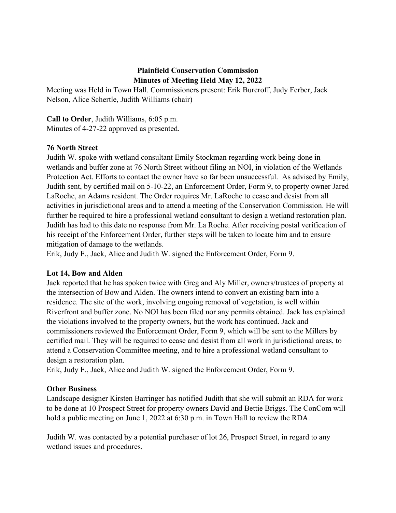## **Plainfield Conservation Commission Minutes of Meeting Held May 12, 2022**

Meeting was Held in Town Hall. Commissioners present: Erik Burcroff, Judy Ferber, Jack Nelson, Alice Schertle, Judith Williams (chair)

**Call to Order**, Judith Williams, 6:05 p.m. Minutes of 4-27-22 approved as presented.

## **76 North Street**

Judith W. spoke with wetland consultant Emily Stockman regarding work being done in wetlands and buffer zone at 76 North Street without filing an NOI, in violation of the Wetlands Protection Act. Efforts to contact the owner have so far been unsuccessful. As advised by Emily, Judith sent, by certified mail on 5-10-22, an Enforcement Order, Form 9, to property owner Jared LaRoche, an Adams resident. The Order requires Mr. LaRoche to cease and desist from all activities in jurisdictional areas and to attend a meeting of the Conservation Commission. He will further be required to hire a professional wetland consultant to design a wetland restoration plan. Judith has had to this date no response from Mr. La Roche. After receiving postal verification of his receipt of the Enforcement Order, further steps will be taken to locate him and to ensure mitigation of damage to the wetlands.

Erik, Judy F., Jack, Alice and Judith W. signed the Enforcement Order, Form 9.

## **Lot 14, Bow and Alden**

Jack reported that he has spoken twice with Greg and Aly Miller, owners/trustees of property at the intersection of Bow and Alden. The owners intend to convert an existing barn into a residence. The site of the work, involving ongoing removal of vegetation, is well within Riverfront and buffer zone. No NOI has been filed nor any permits obtained. Jack has explained the violations involved to the property owners, but the work has continued. Jack and commissioners reviewed the Enforcement Order, Form 9, which will be sent to the Millers by certified mail. They will be required to cease and desist from all work in jurisdictional areas, to attend a Conservation Committee meeting, and to hire a professional wetland consultant to design a restoration plan.

Erik, Judy F., Jack, Alice and Judith W. signed the Enforcement Order, Form 9.

## **Other Business**

Landscape designer Kirsten Barringer has notified Judith that she will submit an RDA for work to be done at 10 Prospect Street for property owners David and Bettie Briggs. The ConCom will hold a public meeting on June 1, 2022 at 6:30 p.m. in Town Hall to review the RDA.

Judith W. was contacted by a potential purchaser of lot 26, Prospect Street, in regard to any wetland issues and procedures.